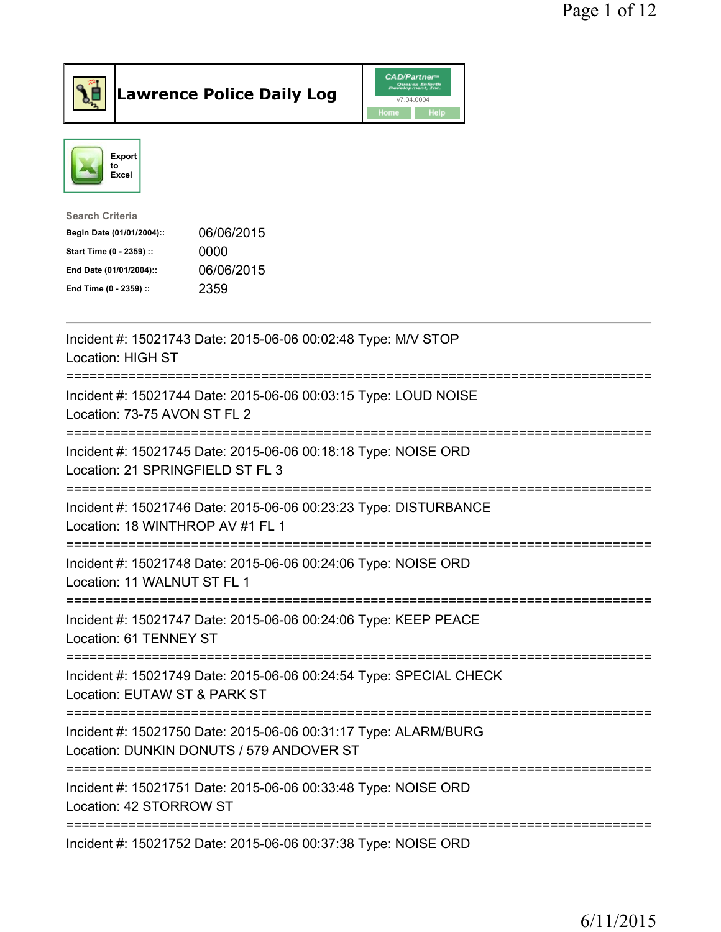

Lawrence Police Daily Log CAD/Partners



| <b>Search Criteria</b>    |            |
|---------------------------|------------|
| Begin Date (01/01/2004):: | 06/06/2015 |
| Start Time (0 - 2359) ::  | 0000       |
| End Date (01/01/2004)::   | 06/06/2015 |
| End Time (0 - 2359) ::    | 2359       |
|                           |            |

| Incident #: 15021743 Date: 2015-06-06 00:02:48 Type: M/V STOP<br><b>Location: HIGH ST</b>                                                                              |
|------------------------------------------------------------------------------------------------------------------------------------------------------------------------|
| Incident #: 15021744 Date: 2015-06-06 00:03:15 Type: LOUD NOISE<br>Location: 73-75 AVON ST FL 2<br>----------------                                                    |
| Incident #: 15021745 Date: 2015-06-06 00:18:18 Type: NOISE ORD<br>Location: 21 SPRINGFIELD ST FL 3                                                                     |
| Incident #: 15021746 Date: 2015-06-06 00:23:23 Type: DISTURBANCE<br>Location: 18 WINTHROP AV #1 FL 1<br>----------------------------------<br>------------------------ |
| Incident #: 15021748 Date: 2015-06-06 00:24:06 Type: NOISE ORD<br>Location: 11 WALNUT ST FL 1                                                                          |
| Incident #: 15021747 Date: 2015-06-06 00:24:06 Type: KEEP PEACE<br>Location: 61 TENNEY ST                                                                              |
| Incident #: 15021749 Date: 2015-06-06 00:24:54 Type: SPECIAL CHECK<br>Location: EUTAW ST & PARK ST                                                                     |
| Incident #: 15021750 Date: 2015-06-06 00:31:17 Type: ALARM/BURG<br>Location: DUNKIN DONUTS / 579 ANDOVER ST                                                            |
| ------------------------------<br>Incident #: 15021751 Date: 2015-06-06 00:33:48 Type: NOISE ORD<br>Location: 42 STORROW ST                                            |
| Incident #: 15021752 Date: 2015-06-06 00:37:38 Type: NOISE ORD                                                                                                         |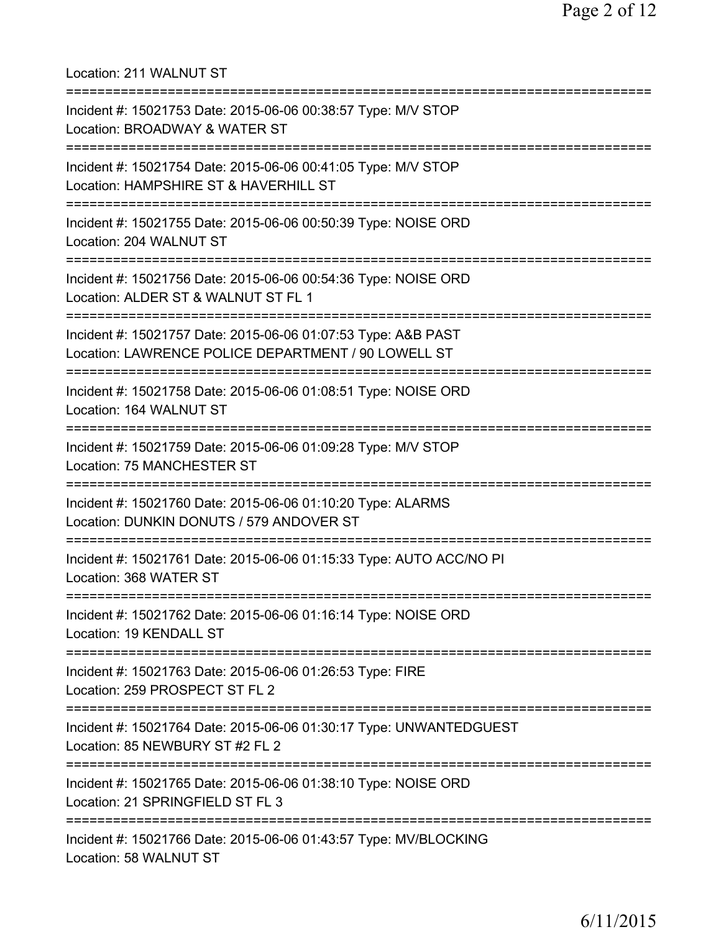Location: 211 WALNUT ST =========================================================================== Incident #: 15021753 Date: 2015-06-06 00:38:57 Type: M/V STOP Location: BROADWAY & WATER ST =========================================================================== Incident #: 15021754 Date: 2015-06-06 00:41:05 Type: M/V STOP Location: HAMPSHIRE ST & HAVERHILL ST =========================================================================== Incident #: 15021755 Date: 2015-06-06 00:50:39 Type: NOISE ORD Location: 204 WALNUT ST =========================================================================== Incident #: 15021756 Date: 2015-06-06 00:54:36 Type: NOISE ORD Location: ALDER ST & WALNUT ST FL 1 =========================================================================== Incident #: 15021757 Date: 2015-06-06 01:07:53 Type: A&B PAST Location: LAWRENCE POLICE DEPARTMENT / 90 LOWELL ST =========================================================================== Incident #: 15021758 Date: 2015-06-06 01:08:51 Type: NOISE ORD Location: 164 WALNUT ST =========================================================================== Incident #: 15021759 Date: 2015-06-06 01:09:28 Type: M/V STOP Location: 75 MANCHESTER ST =========================================================================== Incident #: 15021760 Date: 2015-06-06 01:10:20 Type: ALARMS Location: DUNKIN DONUTS / 579 ANDOVER ST =========================================================================== Incident #: 15021761 Date: 2015-06-06 01:15:33 Type: AUTO ACC/NO PI Location: 368 WATER ST =========================================================================== Incident #: 15021762 Date: 2015-06-06 01:16:14 Type: NOISE ORD Location: 19 KENDALL ST =========================================================================== Incident #: 15021763 Date: 2015-06-06 01:26:53 Type: FIRE Location: 259 PROSPECT ST FL 2 =========================================================================== Incident #: 15021764 Date: 2015-06-06 01:30:17 Type: UNWANTEDGUEST Location: 85 NEWBURY ST #2 FL 2 =========================================================================== Incident #: 15021765 Date: 2015-06-06 01:38:10 Type: NOISE ORD Location: 21 SPRINGFIELD ST FL 3 =========================================================================== Incident #: 15021766 Date: 2015-06-06 01:43:57 Type: MV/BLOCKING Location: 58 WALNUT ST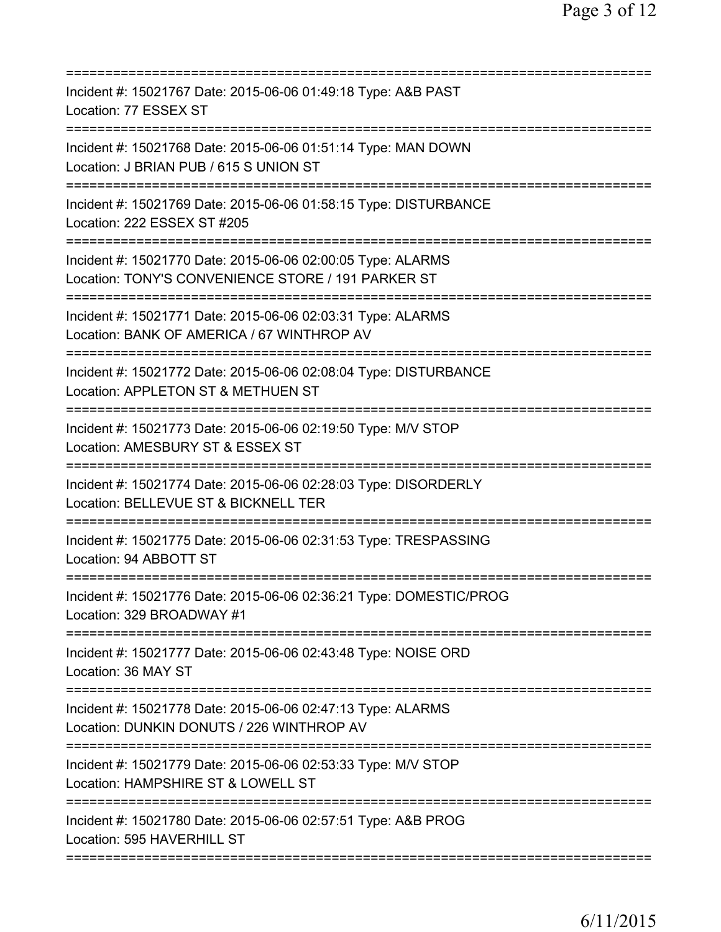| Incident #: 15021767 Date: 2015-06-06 01:49:18 Type: A&B PAST<br>Location: 77 ESSEX ST                                                                               |
|----------------------------------------------------------------------------------------------------------------------------------------------------------------------|
| Incident #: 15021768 Date: 2015-06-06 01:51:14 Type: MAN DOWN<br>Location: J BRIAN PUB / 615 S UNION ST                                                              |
| Incident #: 15021769 Date: 2015-06-06 01:58:15 Type: DISTURBANCE<br>Location: 222 ESSEX ST #205                                                                      |
| Incident #: 15021770 Date: 2015-06-06 02:00:05 Type: ALARMS<br>Location: TONY'S CONVENIENCE STORE / 191 PARKER ST                                                    |
| Incident #: 15021771 Date: 2015-06-06 02:03:31 Type: ALARMS<br>Location: BANK OF AMERICA / 67 WINTHROP AV                                                            |
| ========================<br>Incident #: 15021772 Date: 2015-06-06 02:08:04 Type: DISTURBANCE<br>Location: APPLETON ST & METHUEN ST                                   |
| Incident #: 15021773 Date: 2015-06-06 02:19:50 Type: M/V STOP<br>Location: AMESBURY ST & ESSEX ST                                                                    |
| ============================<br>Incident #: 15021774 Date: 2015-06-06 02:28:03 Type: DISORDERLY<br>Location: BELLEVUE ST & BICKNELL TER<br>========================= |
| Incident #: 15021775 Date: 2015-06-06 02:31:53 Type: TRESPASSING<br>Location: 94 ABBOTT ST                                                                           |
| Incident #: 15021776 Date: 2015-06-06 02:36:21 Type: DOMESTIC/PROG<br>Location: 329 BROADWAY #1                                                                      |
| Incident #: 15021777 Date: 2015-06-06 02:43:48 Type: NOISE ORD<br>Location: 36 MAY ST                                                                                |
| Incident #: 15021778 Date: 2015-06-06 02:47:13 Type: ALARMS<br>Location: DUNKIN DONUTS / 226 WINTHROP AV<br>=================                                        |
| Incident #: 15021779 Date: 2015-06-06 02:53:33 Type: M/V STOP<br>Location: HAMPSHIRE ST & LOWELL ST                                                                  |
| Incident #: 15021780 Date: 2015-06-06 02:57:51 Type: A&B PROG<br>Location: 595 HAVERHILL ST                                                                          |
|                                                                                                                                                                      |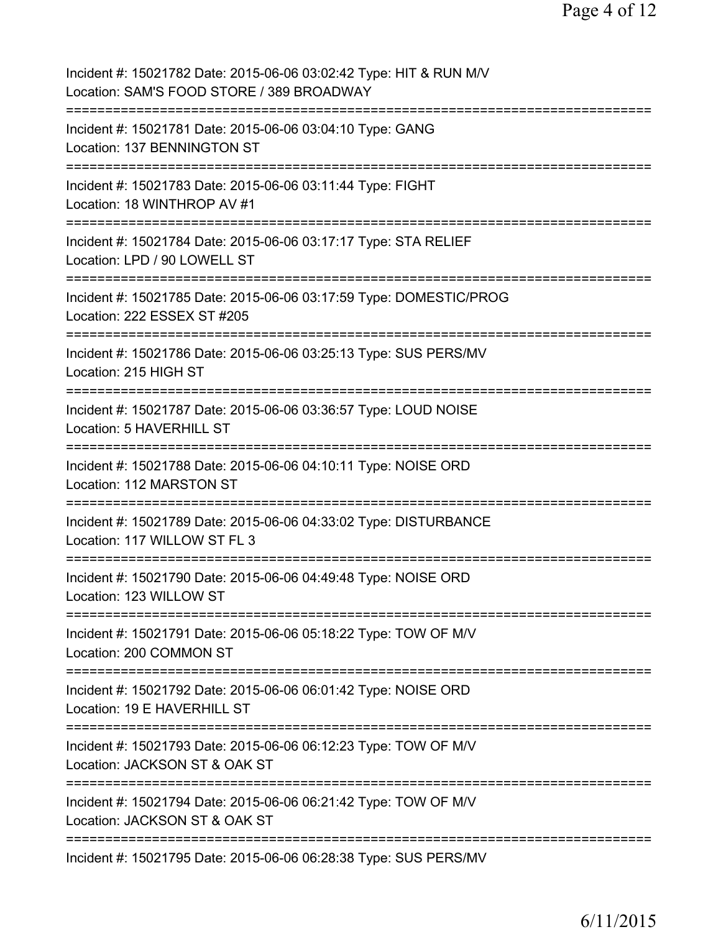| Incident #: 15021782 Date: 2015-06-06 03:02:42 Type: HIT & RUN M/V<br>Location: SAM'S FOOD STORE / 389 BROADWAY |
|-----------------------------------------------------------------------------------------------------------------|
| Incident #: 15021781 Date: 2015-06-06 03:04:10 Type: GANG<br>Location: 137 BENNINGTON ST                        |
| Incident #: 15021783 Date: 2015-06-06 03:11:44 Type: FIGHT<br>Location: 18 WINTHROP AV #1                       |
| Incident #: 15021784 Date: 2015-06-06 03:17:17 Type: STA RELIEF<br>Location: LPD / 90 LOWELL ST                 |
| Incident #: 15021785 Date: 2015-06-06 03:17:59 Type: DOMESTIC/PROG<br>Location: 222 ESSEX ST #205               |
| Incident #: 15021786 Date: 2015-06-06 03:25:13 Type: SUS PERS/MV<br>Location: 215 HIGH ST                       |
| Incident #: 15021787 Date: 2015-06-06 03:36:57 Type: LOUD NOISE<br>Location: 5 HAVERHILL ST                     |
| Incident #: 15021788 Date: 2015-06-06 04:10:11 Type: NOISE ORD<br>Location: 112 MARSTON ST                      |
| Incident #: 15021789 Date: 2015-06-06 04:33:02 Type: DISTURBANCE<br>Location: 117 WILLOW ST FL 3                |
| Incident #: 15021790 Date: 2015-06-06 04:49:48 Type: NOISE ORD<br>Location: 123 WILLOW ST                       |
| Incident #: 15021791 Date: 2015-06-06 05:18:22 Type: TOW OF M/V<br>Location: 200 COMMON ST                      |
| Incident #: 15021792 Date: 2015-06-06 06:01:42 Type: NOISE ORD<br>Location: 19 E HAVERHILL ST                   |
| Incident #: 15021793 Date: 2015-06-06 06:12:23 Type: TOW OF M/V<br>Location: JACKSON ST & OAK ST                |
| Incident #: 15021794 Date: 2015-06-06 06:21:42 Type: TOW OF M/V<br>Location: JACKSON ST & OAK ST                |
| Incident #: 15021795 Date: 2015-06-06 06:28:38 Type: SUS PERS/MV                                                |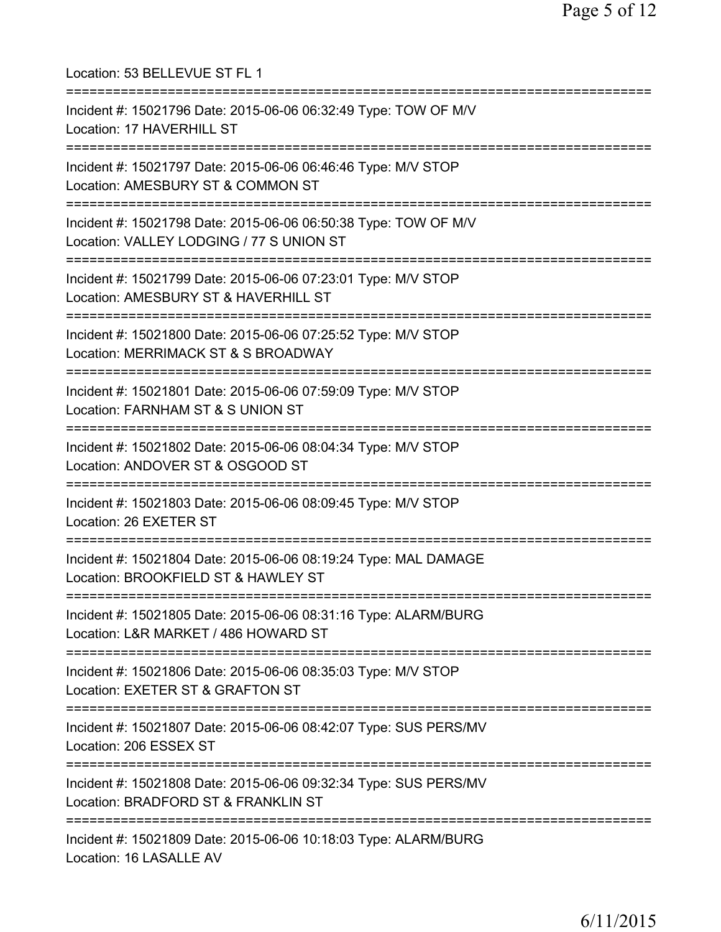| Location: 53 BELLEVUE ST FL 1                                                                                                               |
|---------------------------------------------------------------------------------------------------------------------------------------------|
| Incident #: 15021796 Date: 2015-06-06 06:32:49 Type: TOW OF M/V<br>Location: 17 HAVERHILL ST<br>---------------------                       |
| Incident #: 15021797 Date: 2015-06-06 06:46:46 Type: M/V STOP<br>Location: AMESBURY ST & COMMON ST<br>================================      |
| Incident #: 15021798 Date: 2015-06-06 06:50:38 Type: TOW OF M/V<br>Location: VALLEY LODGING / 77 S UNION ST<br>============================ |
| Incident #: 15021799 Date: 2015-06-06 07:23:01 Type: M/V STOP<br>Location: AMESBURY ST & HAVERHILL ST<br>=================================  |
| Incident #: 15021800 Date: 2015-06-06 07:25:52 Type: M/V STOP<br>Location: MERRIMACK ST & S BROADWAY<br>===============================     |
| Incident #: 15021801 Date: 2015-06-06 07:59:09 Type: M/V STOP<br>Location: FARNHAM ST & S UNION ST<br>============================          |
| Incident #: 15021802 Date: 2015-06-06 08:04:34 Type: M/V STOP<br>Location: ANDOVER ST & OSGOOD ST                                           |
| Incident #: 15021803 Date: 2015-06-06 08:09:45 Type: M/V STOP<br>Location: 26 EXETER ST                                                     |
| Incident #: 15021804 Date: 2015-06-06 08:19:24 Type: MAL DAMAGE<br>Location: BROOKFIELD ST & HAWLEY ST                                      |
| Incident #: 15021805 Date: 2015-06-06 08:31:16 Type: ALARM/BURG<br>Location: L&R MARKET / 486 HOWARD ST                                     |
| Incident #: 15021806 Date: 2015-06-06 08:35:03 Type: M/V STOP<br>Location: EXETER ST & GRAFTON ST                                           |
| Incident #: 15021807 Date: 2015-06-06 08:42:07 Type: SUS PERS/MV<br>Location: 206 ESSEX ST                                                  |
| Incident #: 15021808 Date: 2015-06-06 09:32:34 Type: SUS PERS/MV<br>Location: BRADFORD ST & FRANKLIN ST                                     |
| .===================================<br>Incident #: 15021809 Date: 2015-06-06 10:18:03 Type: ALARM/BURG<br>Location: 16 LASALLE AV          |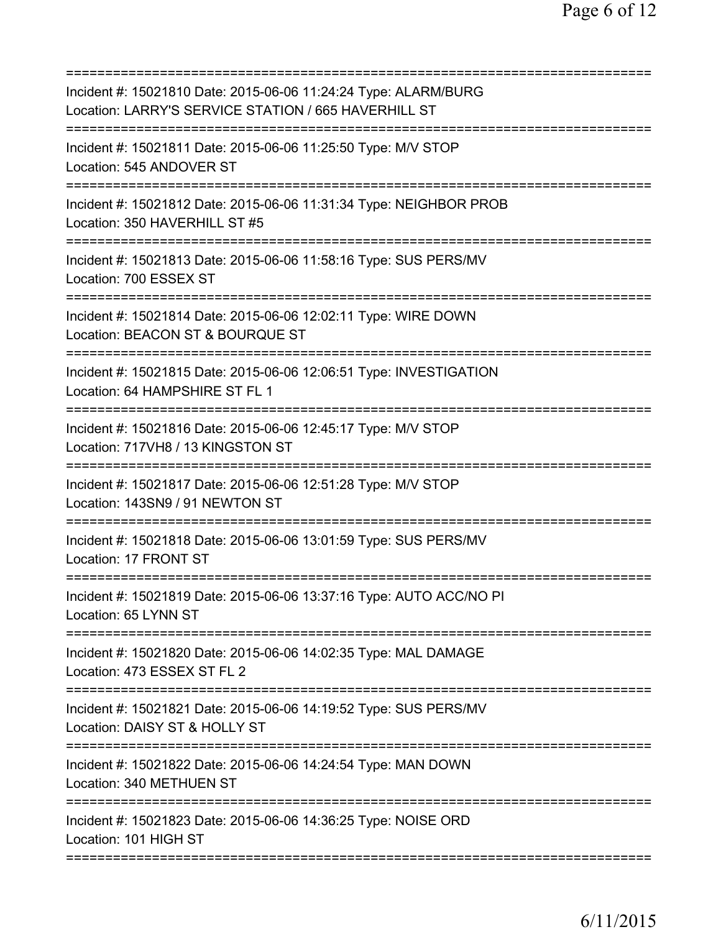| Incident #: 15021810 Date: 2015-06-06 11:24:24 Type: ALARM/BURG<br>Location: LARRY'S SERVICE STATION / 665 HAVERHILL ST |
|-------------------------------------------------------------------------------------------------------------------------|
| Incident #: 15021811 Date: 2015-06-06 11:25:50 Type: M/V STOP<br>Location: 545 ANDOVER ST                               |
| Incident #: 15021812 Date: 2015-06-06 11:31:34 Type: NEIGHBOR PROB<br>Location: 350 HAVERHILL ST #5                     |
| Incident #: 15021813 Date: 2015-06-06 11:58:16 Type: SUS PERS/MV<br>Location: 700 ESSEX ST                              |
| Incident #: 15021814 Date: 2015-06-06 12:02:11 Type: WIRE DOWN<br>Location: BEACON ST & BOURQUE ST                      |
| Incident #: 15021815 Date: 2015-06-06 12:06:51 Type: INVESTIGATION<br>Location: 64 HAMPSHIRE ST FL 1                    |
| Incident #: 15021816 Date: 2015-06-06 12:45:17 Type: M/V STOP<br>Location: 717VH8 / 13 KINGSTON ST                      |
| Incident #: 15021817 Date: 2015-06-06 12:51:28 Type: M/V STOP<br>Location: 143SN9 / 91 NEWTON ST<br>:==========:        |
| Incident #: 15021818 Date: 2015-06-06 13:01:59 Type: SUS PERS/MV<br>Location: 17 FRONT ST                               |
| Incident #: 15021819 Date: 2015-06-06 13:37:16 Type: AUTO ACC/NO PI<br>Location: 65 LYNN ST                             |
| Incident #: 15021820 Date: 2015-06-06 14:02:35 Type: MAL DAMAGE<br>Location: 473 ESSEX ST FL 2                          |
| Incident #: 15021821 Date: 2015-06-06 14:19:52 Type: SUS PERS/MV<br>Location: DAISY ST & HOLLY ST                       |
| Incident #: 15021822 Date: 2015-06-06 14:24:54 Type: MAN DOWN<br>Location: 340 METHUEN ST                               |
| Incident #: 15021823 Date: 2015-06-06 14:36:25 Type: NOISE ORD<br>Location: 101 HIGH ST                                 |
|                                                                                                                         |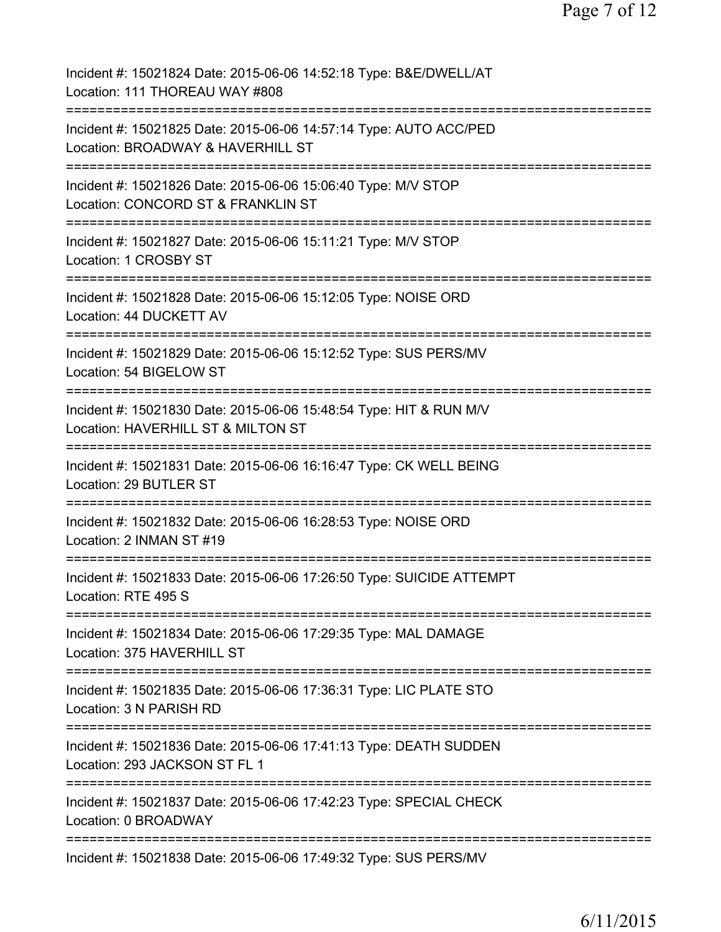| Incident #: 15021824 Date: 2015-06-06 14:52:18 Type: B&E/DWELL/AT<br>Location: 111 THOREAU WAY #808                                                |
|----------------------------------------------------------------------------------------------------------------------------------------------------|
| Incident #: 15021825 Date: 2015-06-06 14:57:14 Type: AUTO ACC/PED<br>Location: BROADWAY & HAVERHILL ST                                             |
| Incident #: 15021826 Date: 2015-06-06 15:06:40 Type: M/V STOP<br>Location: CONCORD ST & FRANKLIN ST                                                |
| Incident #: 15021827 Date: 2015-06-06 15:11:21 Type: M/V STOP<br>Location: 1 CROSBY ST                                                             |
| Incident #: 15021828 Date: 2015-06-06 15:12:05 Type: NOISE ORD<br>Location: 44 DUCKETT AV                                                          |
| Incident #: 15021829 Date: 2015-06-06 15:12:52 Type: SUS PERS/MV<br>Location: 54 BIGELOW ST                                                        |
| Incident #: 15021830 Date: 2015-06-06 15:48:54 Type: HIT & RUN M/V<br>Location: HAVERHILL ST & MILTON ST<br>===========<br>======================= |
| Incident #: 15021831 Date: 2015-06-06 16:16:47 Type: CK WELL BEING<br>Location: 29 BUTLER ST                                                       |
| Incident #: 15021832 Date: 2015-06-06 16:28:53 Type: NOISE ORD<br>Location: 2 INMAN ST #19                                                         |
| Incident #: 15021833 Date: 2015-06-06 17:26:50 Type: SUICIDE ATTEMPT<br>Location: RTE 495 S                                                        |
| ==============================<br>Incident #: 15021834 Date: 2015-06-06 17:29:35 Type: MAL DAMAGE<br>Location: 375 HAVERHILL ST                    |
| Incident #: 15021835 Date: 2015-06-06 17:36:31 Type: LIC PLATE STO<br>Location: 3 N PARISH RD                                                      |
| Incident #: 15021836 Date: 2015-06-06 17:41:13 Type: DEATH SUDDEN<br>Location: 293 JACKSON ST FL 1                                                 |
| Incident #: 15021837 Date: 2015-06-06 17:42:23 Type: SPECIAL CHECK<br>Location: 0 BROADWAY                                                         |
| Incident #: 15021838 Date: 2015-06-06 17:49:32 Type: SUS PERS/MV                                                                                   |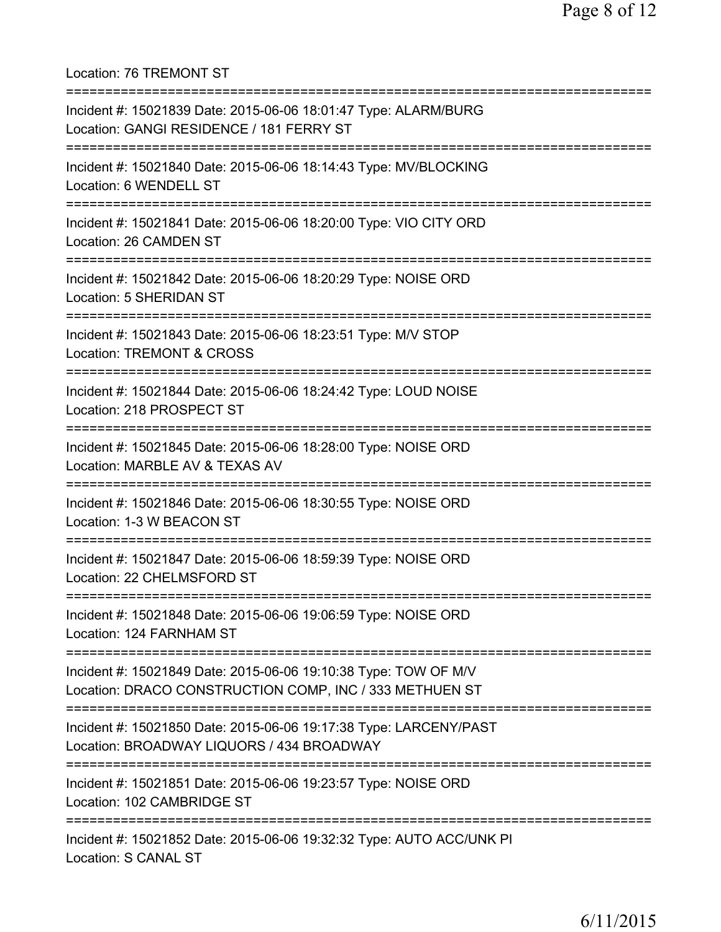Location: 76 TREMONT ST =========================================================================== Incident #: 15021839 Date: 2015-06-06 18:01:47 Type: ALARM/BURG Location: GANGI RESIDENCE / 181 FERRY ST =========================================================================== Incident #: 15021840 Date: 2015-06-06 18:14:43 Type: MV/BLOCKING Location: 6 WENDELL ST =========================================================================== Incident #: 15021841 Date: 2015-06-06 18:20:00 Type: VIO CITY ORD Location: 26 CAMDEN ST =========================================================================== Incident #: 15021842 Date: 2015-06-06 18:20:29 Type: NOISE ORD Location: 5 SHERIDAN ST =========================================================================== Incident #: 15021843 Date: 2015-06-06 18:23:51 Type: M/V STOP Location: TREMONT & CROSS =========================================================================== Incident #: 15021844 Date: 2015-06-06 18:24:42 Type: LOUD NOISE Location: 218 PROSPECT ST =========================================================================== Incident #: 15021845 Date: 2015-06-06 18:28:00 Type: NOISE ORD Location: MARBLE AV & TEXAS AV =========================================================================== Incident #: 15021846 Date: 2015-06-06 18:30:55 Type: NOISE ORD Location: 1-3 W BEACON ST =========================================================================== Incident #: 15021847 Date: 2015-06-06 18:59:39 Type: NOISE ORD Location: 22 CHELMSFORD ST =========================================================================== Incident #: 15021848 Date: 2015-06-06 19:06:59 Type: NOISE ORD Location: 124 FARNHAM ST =========================================================================== Incident #: 15021849 Date: 2015-06-06 19:10:38 Type: TOW OF M/V Location: DRACO CONSTRUCTION COMP, INC / 333 METHUEN ST =========================================================================== Incident #: 15021850 Date: 2015-06-06 19:17:38 Type: LARCENY/PAST Location: BROADWAY LIQUORS / 434 BROADWAY =========================================================================== Incident #: 15021851 Date: 2015-06-06 19:23:57 Type: NOISE ORD Location: 102 CAMBRIDGE ST =========================================================================== Incident #: 15021852 Date: 2015-06-06 19:32:32 Type: AUTO ACC/UNK PI Location: S CANAL ST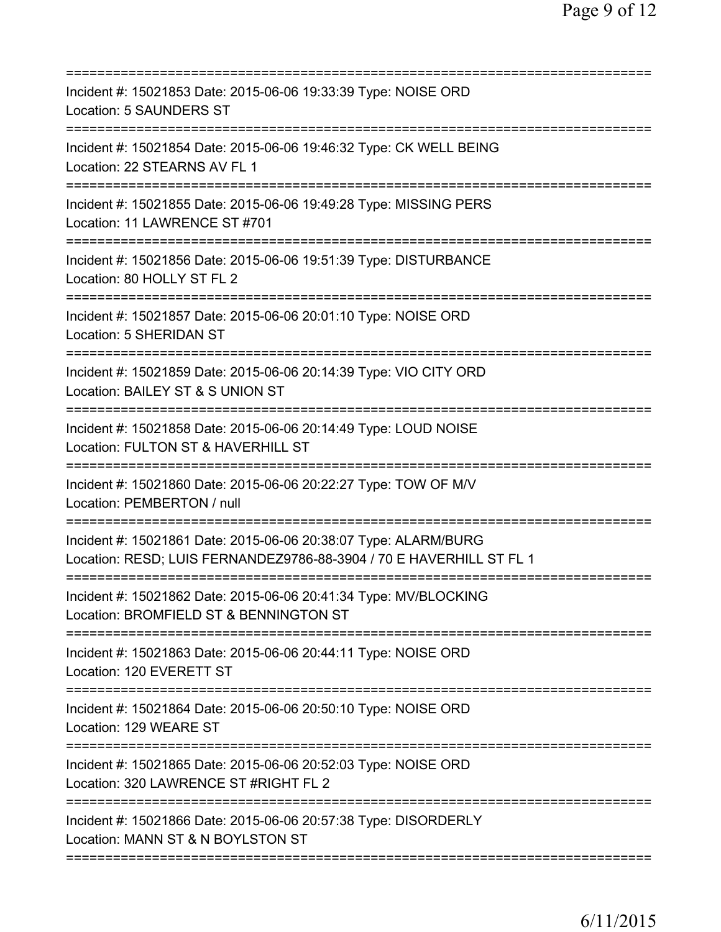| Incident #: 15021853 Date: 2015-06-06 19:33:39 Type: NOISE ORD<br>Location: 5 SAUNDERS ST                                              |
|----------------------------------------------------------------------------------------------------------------------------------------|
| Incident #: 15021854 Date: 2015-06-06 19:46:32 Type: CK WELL BEING<br>Location: 22 STEARNS AV FL 1                                     |
| Incident #: 15021855 Date: 2015-06-06 19:49:28 Type: MISSING PERS<br>Location: 11 LAWRENCE ST #701                                     |
| Incident #: 15021856 Date: 2015-06-06 19:51:39 Type: DISTURBANCE<br>Location: 80 HOLLY ST FL 2                                         |
| Incident #: 15021857 Date: 2015-06-06 20:01:10 Type: NOISE ORD<br>Location: 5 SHERIDAN ST                                              |
| Incident #: 15021859 Date: 2015-06-06 20:14:39 Type: VIO CITY ORD<br>Location: BAILEY ST & S UNION ST                                  |
| Incident #: 15021858 Date: 2015-06-06 20:14:49 Type: LOUD NOISE<br>Location: FULTON ST & HAVERHILL ST<br>============================= |
| Incident #: 15021860 Date: 2015-06-06 20:22:27 Type: TOW OF M/V<br>Location: PEMBERTON / null                                          |
| Incident #: 15021861 Date: 2015-06-06 20:38:07 Type: ALARM/BURG<br>Location: RESD; LUIS FERNANDEZ9786-88-3904 / 70 E HAVERHILL ST FL 1 |
| Incident #: 15021862 Date: 2015-06-06 20:41:34 Type: MV/BLOCKING<br>Location: BROMFIELD ST & BENNINGTON ST                             |
| Incident #: 15021863 Date: 2015-06-06 20:44:11 Type: NOISE ORD<br>Location: 120 EVERETT ST                                             |
| Incident #: 15021864 Date: 2015-06-06 20:50:10 Type: NOISE ORD<br>Location: 129 WEARE ST                                               |
| Incident #: 15021865 Date: 2015-06-06 20:52:03 Type: NOISE ORD<br>Location: 320 LAWRENCE ST #RIGHT FL 2                                |
| Incident #: 15021866 Date: 2015-06-06 20:57:38 Type: DISORDERLY<br>Location: MANN ST & N BOYLSTON ST                                   |
|                                                                                                                                        |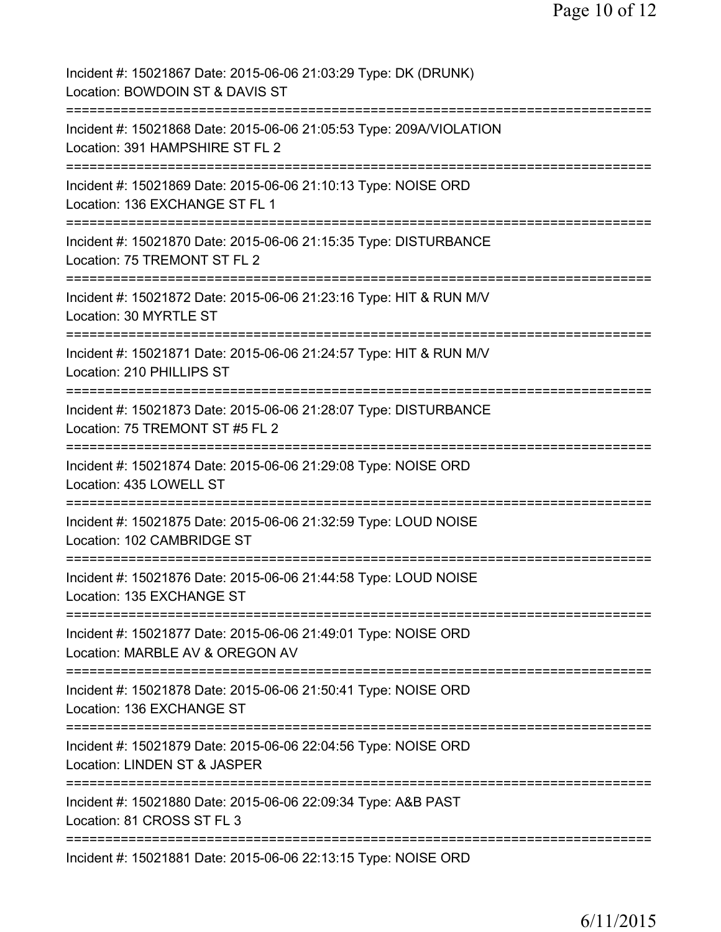| Incident #: 15021867 Date: 2015-06-06 21:03:29 Type: DK (DRUNK)<br>Location: BOWDOIN ST & DAVIS ST                          |
|-----------------------------------------------------------------------------------------------------------------------------|
| Incident #: 15021868 Date: 2015-06-06 21:05:53 Type: 209A/VIOLATION<br>Location: 391 HAMPSHIRE ST FL 2                      |
| Incident #: 15021869 Date: 2015-06-06 21:10:13 Type: NOISE ORD<br>Location: 136 EXCHANGE ST FL 1                            |
| Incident #: 15021870 Date: 2015-06-06 21:15:35 Type: DISTURBANCE<br>Location: 75 TREMONT ST FL 2                            |
| Incident #: 15021872 Date: 2015-06-06 21:23:16 Type: HIT & RUN M/V<br>Location: 30 MYRTLE ST                                |
| Incident #: 15021871 Date: 2015-06-06 21:24:57 Type: HIT & RUN M/V<br>Location: 210 PHILLIPS ST                             |
| Incident #: 15021873 Date: 2015-06-06 21:28:07 Type: DISTURBANCE<br>Location: 75 TREMONT ST #5 FL 2                         |
| Incident #: 15021874 Date: 2015-06-06 21:29:08 Type: NOISE ORD<br>Location: 435 LOWELL ST                                   |
| Incident #: 15021875 Date: 2015-06-06 21:32:59 Type: LOUD NOISE<br>Location: 102 CAMBRIDGE ST                               |
| Incident #: 15021876 Date: 2015-06-06 21:44:58 Type: LOUD NOISE<br>Location: 135 EXCHANGE ST                                |
| Incident #: 15021877 Date: 2015-06-06 21:49:01 Type: NOISE ORD<br>Location: MARBLE AV & OREGON AV                           |
| Incident #: 15021878 Date: 2015-06-06 21:50:41 Type: NOISE ORD<br>Location: 136 EXCHANGE ST                                 |
| Incident #: 15021879 Date: 2015-06-06 22:04:56 Type: NOISE ORD<br>Location: LINDEN ST & JASPER                              |
| ============================<br>Incident #: 15021880 Date: 2015-06-06 22:09:34 Type: A&B PAST<br>Location: 81 CROSS ST FL 3 |
| Incident #: 15021881 Date: 2015-06-06 22:13:15 Type: NOISE ORD                                                              |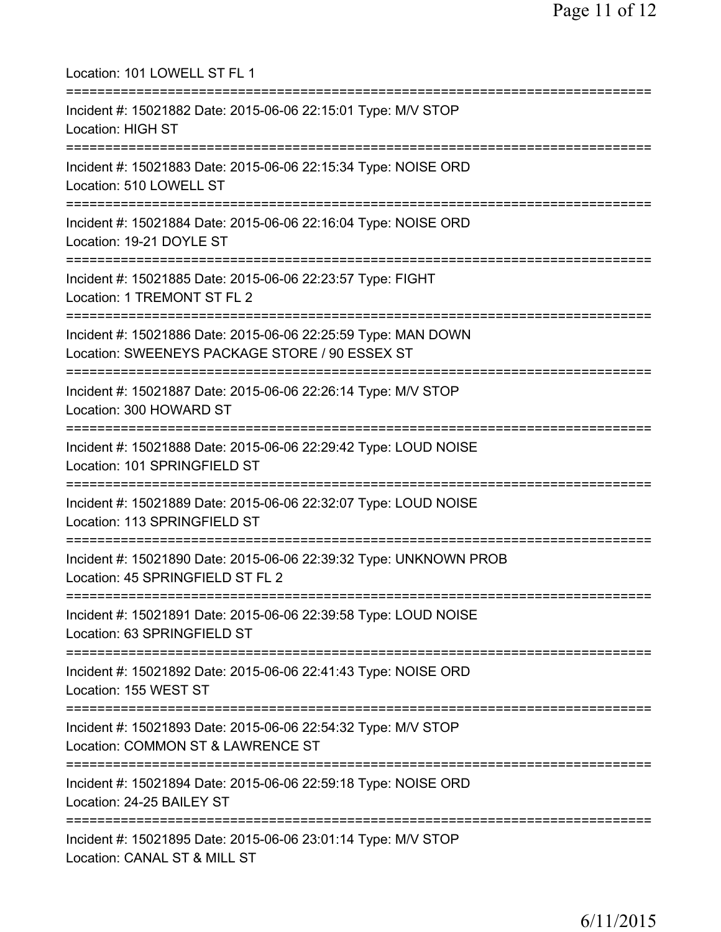| Location: 101 LOWELL ST FL 1                                                                                                               |
|--------------------------------------------------------------------------------------------------------------------------------------------|
| Incident #: 15021882 Date: 2015-06-06 22:15:01 Type: M/V STOP<br>Location: HIGH ST                                                         |
| Incident #: 15021883 Date: 2015-06-06 22:15:34 Type: NOISE ORD<br>Location: 510 LOWELL ST                                                  |
| ;========================<br>Incident #: 15021884 Date: 2015-06-06 22:16:04 Type: NOISE ORD<br>Location: 19-21 DOYLE ST                    |
| ===============================<br>Incident #: 15021885 Date: 2015-06-06 22:23:57 Type: FIGHT<br>Location: 1 TREMONT ST FL 2               |
| =======================<br>Incident #: 15021886 Date: 2015-06-06 22:25:59 Type: MAN DOWN<br>Location: SWEENEYS PACKAGE STORE / 90 ESSEX ST |
| Incident #: 15021887 Date: 2015-06-06 22:26:14 Type: M/V STOP<br>Location: 300 HOWARD ST                                                   |
| Incident #: 15021888 Date: 2015-06-06 22:29:42 Type: LOUD NOISE<br>Location: 101 SPRINGFIELD ST                                            |
| Incident #: 15021889 Date: 2015-06-06 22:32:07 Type: LOUD NOISE<br>Location: 113 SPRINGFIELD ST                                            |
| Incident #: 15021890 Date: 2015-06-06 22:39:32 Type: UNKNOWN PROB<br>Location: 45 SPRINGFIELD ST FL 2                                      |
| Incident #: 15021891 Date: 2015-06-06 22:39:58 Type: LOUD NOISE<br>Location: 63 SPRINGFIELD ST                                             |
| Incident #: 15021892 Date: 2015-06-06 22:41:43 Type: NOISE ORD<br>Location: 155 WEST ST                                                    |
| Incident #: 15021893 Date: 2015-06-06 22:54:32 Type: M/V STOP<br>Location: COMMON ST & LAWRENCE ST                                         |
| Incident #: 15021894 Date: 2015-06-06 22:59:18 Type: NOISE ORD<br>Location: 24-25 BAILEY ST                                                |
| Incident #: 15021895 Date: 2015-06-06 23:01:14 Type: M/V STOP<br>Location: CANAL ST & MILL ST                                              |